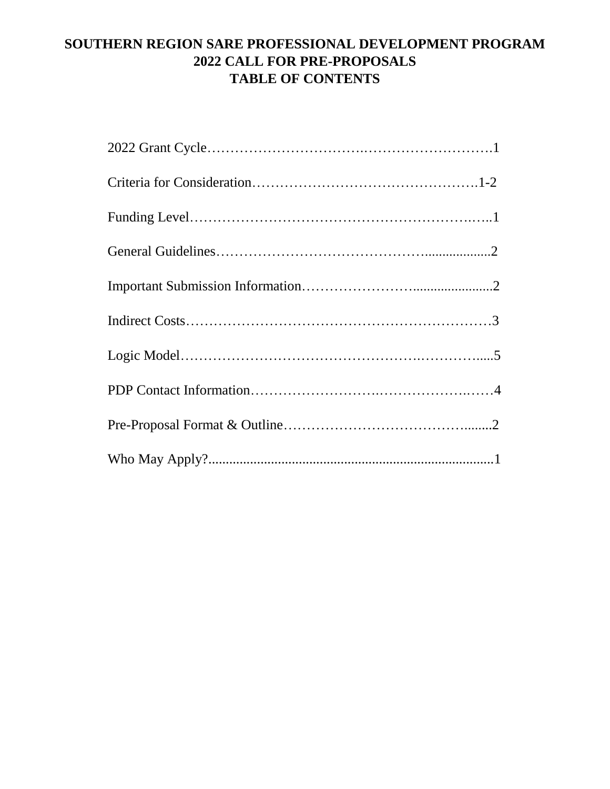# **SOUTHERN REGION SARE PROFESSIONAL DEVELOPMENT PROGRAM 2022 CALL FOR PRE-PROPOSALS TABLE OF CONTENTS**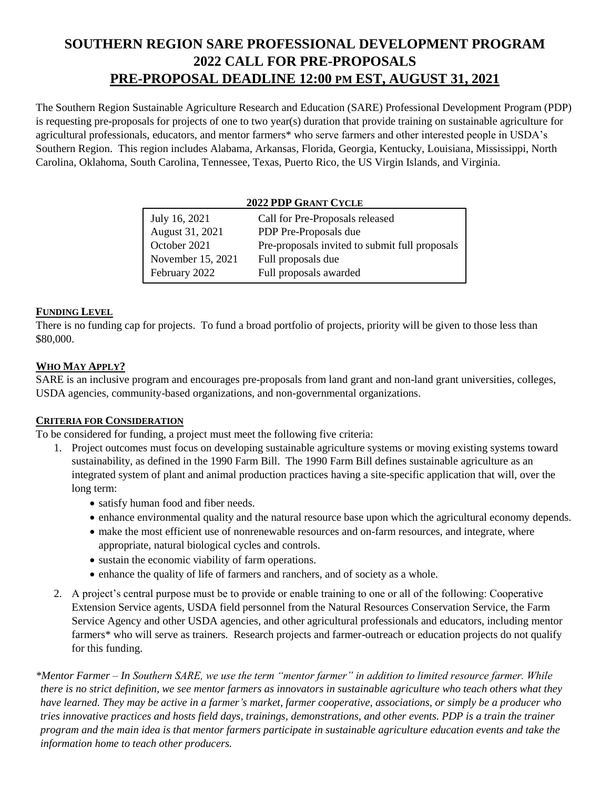# **SOUTHERN REGION SARE PROFESSIONAL DEVELOPMENT PROGRAM 2022 CALL FOR PRE-PROPOSALS PRE-PROPOSAL DEADLINE 12:00 PM EST, AUGUST 31, 2021**

The Southern Region Sustainable Agriculture Research and Education (SARE) Professional Development Program (PDP) is requesting pre-proposals for projects of one to two year(s) duration that provide training on sustainable agriculture for agricultural professionals, educators, and mentor farmers\* who serve farmers and other interested people in USDA's Southern Region. This region includes Alabama, Arkansas, Florida, Georgia, Kentucky, Louisiana, Mississippi, North Carolina, Oklahoma, South Carolina, Tennessee, Texas, Puerto Rico, the US Virgin Islands, and Virginia.

#### **2022 PDP GRANT CYCLE**

| July 16, 2021     | Call for Pre-Proposals released                |
|-------------------|------------------------------------------------|
| August 31, 2021   | PDP Pre-Proposals due                          |
| October 2021      | Pre-proposals invited to submit full proposals |
| November 15, 2021 | Full proposals due                             |
| February 2022     | Full proposals awarded                         |

### **FUNDING LEVEL**

There is no funding cap for projects. To fund a broad portfolio of projects, priority will be given to those less than \$80,000.

### **WHO MAY APPLY?**

SARE is an inclusive program and encourages pre-proposals from land grant and non-land grant universities, colleges, USDA agencies, community-based organizations, and non-governmental organizations.

### **CRITERIA FOR CONSIDERATION**

To be considered for funding, a project must meet the following five criteria:

- 1. Project outcomes must focus on developing sustainable agriculture systems or moving existing systems toward sustainability, as defined in the 1990 Farm Bill. The 1990 Farm Bill defines sustainable agriculture as an integrated system of plant and animal production practices having a site-specific application that will, over the long term:
	- satisfy human food and fiber needs.
	- enhance environmental quality and the natural resource base upon which the agricultural economy depends.
	- make the most efficient use of nonrenewable resources and on-farm resources, and integrate, where appropriate, natural biological cycles and controls.
	- sustain the economic viability of farm operations.
	- enhance the quality of life of farmers and ranchers, and of society as a whole.
- 2. A project's central purpose must be to provide or enable training to one or all of the following: Cooperative Extension Service agents, USDA field personnel from the Natural Resources Conservation Service, the Farm Service Agency and other USDA agencies, and other agricultural professionals and educators, including mentor farmers\* who will serve as trainers. Research projects and farmer-outreach or education projects do not qualify for this funding.

*\*Mentor Farmer – In Southern SARE, we use the term "mentor farmer" in addition to limited resource farmer. While there is no strict definition, we see mentor farmers as innovators in sustainable agriculture who teach others what they have learned. They may be active in a farmer's market, farmer cooperative, associations, or simply be a producer who tries innovative practices and hosts field days, trainings, demonstrations, and other events. PDP is a train the trainer program and the main idea is that mentor farmers participate in sustainable agriculture education events and take the information home to teach other producers.*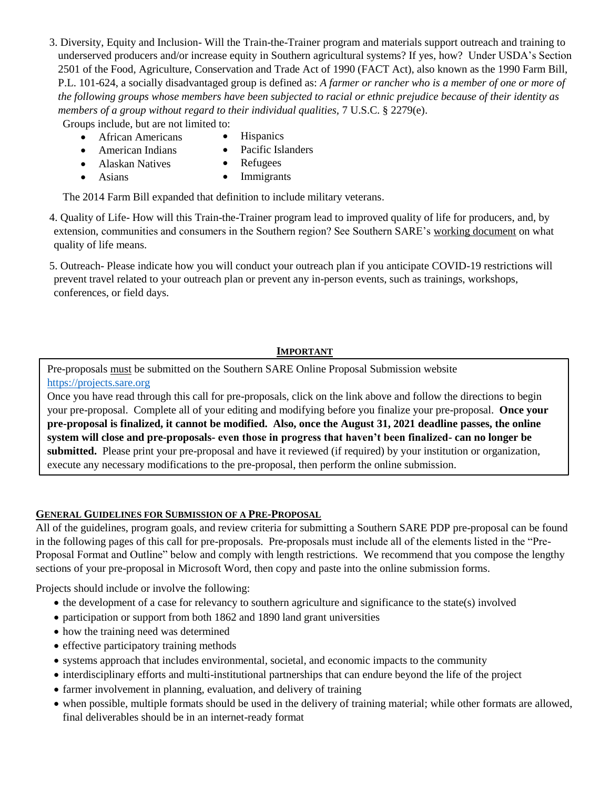3. Diversity, Equity and Inclusion- Will the Train-the-Trainer program and materials support outreach and training to underserved producers and/or increase equity in Southern agricultural systems? If yes, how? Under USDA's Section 2501 of the Food, Agriculture, Conservation and Trade Act of 1990 (FACT Act), also known as the 1990 Farm Bill, P.L. 101-624, a socially disadvantaged group is defined as: *A farmer or rancher who is a member of one or more of the following groups whose members have been subjected to racial or ethnic prejudice because of their identity as members of a group without regard to their individual qualities,* 7 U.S.C. § 2279(e).

Groups include, but are not limited to:

- African Americans
- **Hispanics**
- American Indians
- Pacific Islanders
- Alaskan Natives

• Asians

• Refugees • Immigrants

The 2014 Farm Bill expanded that definition to include military veterans.

4. Quality of Life- How will this Train-the-Trainer program lead to improved quality of life for producers, and, by extension, communities and consumers in the Southern region? See Southern SARE's [working document](https://southern.sare.org/grants/apply-for-a-grant/research-education-grants/quality-of-life/) on what quality of life means.

5. Outreach- Please indicate how you will conduct your outreach plan if you anticipate COVID-19 restrictions will prevent travel related to your outreach plan or prevent any in-person events, such as trainings, workshops, conferences, or field days.

### **IMPORTANT**

Pre-proposals must be submitted on the Southern SARE Online Proposal Submission website [https://projects.sare.org](https://projects.sare.org/)

Once you have read through this call for pre-proposals, click on the link above and follow the directions to begin your pre-proposal. Complete all of your editing and modifying before you finalize your pre-proposal. **Once your pre-proposal is finalized, it cannot be modified. Also, once the August 31, 2021 deadline passes, the online system will close and pre-proposals- even those in progress that haven't been finalized- can no longer be submitted.** Please print your pre-proposal and have it reviewed (if required) by your institution or organization, execute any necessary modifications to the pre-proposal, then perform the online submission.

### **GENERAL GUIDELINES FOR SUBMISSION OF A PRE-PROPOSAL**

All of the guidelines, program goals, and review criteria for submitting a Southern SARE PDP pre-proposal can be found in the following pages of this call for pre-proposals. Pre-proposals must include all of the elements listed in the "Pre-Proposal Format and Outline" below and comply with length restrictions. We recommend that you compose the lengthy sections of your pre-proposal in Microsoft Word, then copy and paste into the online submission forms.

Projects should include or involve the following:

- the development of a case for relevancy to southern agriculture and significance to the state(s) involved
- participation or support from both 1862 and 1890 land grant universities
- how the training need was determined
- effective participatory training methods
- systems approach that includes environmental, societal, and economic impacts to the community
- interdisciplinary efforts and multi-institutional partnerships that can endure beyond the life of the project
- farmer involvement in planning, evaluation, and delivery of training
- when possible, multiple formats should be used in the delivery of training material; while other formats are allowed, final deliverables should be in an internet-ready format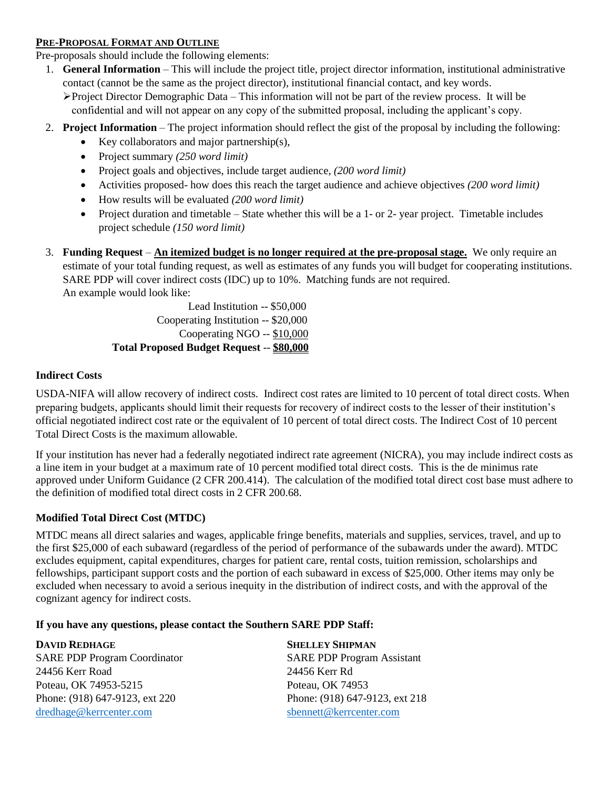#### **PRE-PROPOSAL FORMAT AND OUTLINE**

Pre-proposals should include the following elements:

- 1. **General Information** This will include the project title, project director information, institutional administrative contact (cannot be the same as the project director), institutional financial contact, and key words.  $\triangleright$  Project Director Demographic Data – This information will not be part of the review process. It will be confidential and will not appear on any copy of the submitted proposal, including the applicant's copy.
- 2. **Project Information** The project information should reflect the gist of the proposal by including the following:
	- Exercise Key collaborators and major partnership(s),
	- Project summary *(250 word limit)*
	- Project goals and objectives, include target audience, *(200 word limit)*
	- Activities proposed- how does this reach the target audience and achieve objectives *(200 word limit)*
	- How results will be evaluated *(200 word limit)*
	- Project duration and timetable State whether this will be a 1- or 2- year project. Timetable includes project schedule *(150 word limit)*
- 3. **Funding Request An itemized budget is no longer required at the pre-proposal stage.** We only require an estimate of your total funding request, as well as estimates of any funds you will budget for cooperating institutions. SARE PDP will cover indirect costs (IDC) up to 10%. Matching funds are not required. An example would look like:

Lead Institution -- \$50,000 Cooperating Institution -- \$20,000 Cooperating NGO -- \$10,000 **Total Proposed Budget Request** -- **\$80,000**

### **Indirect Costs**

USDA-NIFA will allow recovery of indirect costs. Indirect cost rates are limited to 10 percent of total direct costs. When preparing budgets, applicants should limit their requests for recovery of indirect costs to the lesser of their institution's official negotiated indirect cost rate or the equivalent of 10 percent of total direct costs. The Indirect Cost of 10 percent Total Direct Costs is the maximum allowable.

If your institution has never had a federally negotiated indirect rate agreement (NICRA), you may include indirect costs as a line item in your budget at a maximum rate of 10 percent modified total direct costs. This is the de minimus rate approved under Uniform Guidance (2 CFR 200.414). The calculation of the modified total direct cost base must adhere to the definition of modified total direct costs in 2 CFR 200.68.

### **Modified Total Direct Cost (MTDC)**

MTDC means all direct salaries and wages, applicable fringe benefits, materials and supplies, services, travel, and up to the first \$25,000 of each subaward (regardless of the period of performance of the subawards under the award). MTDC excludes equipment, capital expenditures, charges for patient care, rental costs, tuition remission, scholarships and fellowships, participant support costs and the portion of each subaward in excess of \$25,000. Other items may only be excluded when necessary to avoid a serious inequity in the distribution of indirect costs, and with the approval of the cognizant agency for indirect costs.

### **If you have any questions, please contact the Southern SARE PDP Staff:**

**DAVID REDHAGE SHELLEY SHIPMAN** SARE PDP Program Coordinator SARE PDP Program Assistant 24456 Kerr Road 24456 Kerr Rd Poteau, OK 74953-5215 Poteau, OK 74953 Phone: (918) 647-9123, ext 220 Phone: (918) 647-9123, ext 218 [dredhage@kerrcenter.com](mailto:dredhage@kerrcenter.com) [sbennett@kerrcenter.com](mailto:sbennett@kerrcenter.com)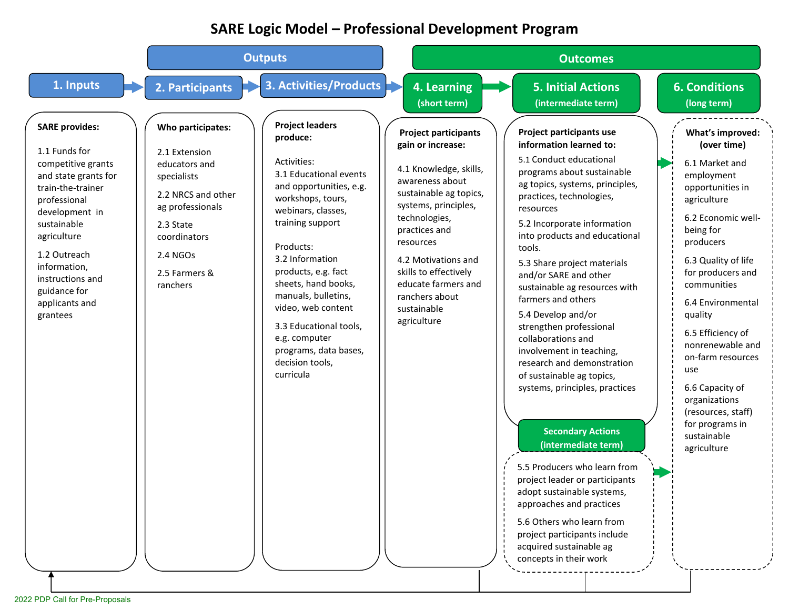# **SARE Logic Model – Professional Development Program**

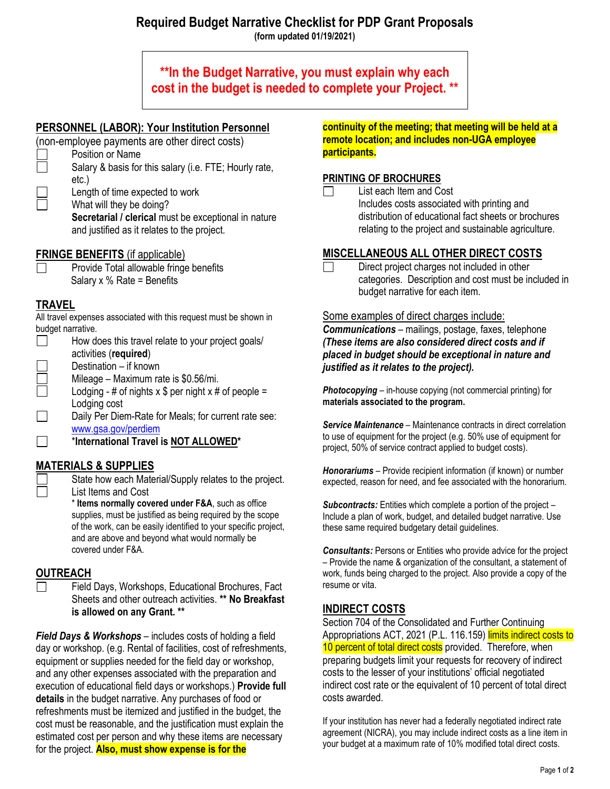### **Required Budget Narrative Checklist for PDP Grant Proposals (form updated 01/19/2021)**

**\*\*In the Budget Narrative, you must explain why each cost in the budget is needed to complete your Project. \*\***

# **PERSONNEL (LABOR): Your Institution Personnel**

- (non-employee payments are other direct costs)
	- Position or Name Salary & basis for this salary (i.e. FTE; Hourly rate,

etc.) Length of time expected to work

What will they be doing?

**Secretarial / clerical must be exceptional in nature** and justified as it relates to the project.

## **FRINGE BENEFITS** (if applicable)

Provide Total allowable fringe benefits Salary x % Rate = Benefits

# **TRAVEL**

All travel expenses associated with this request must be shown in budget narrative.

- $\Box$ How does this travel relate to your project goals/ activities (**required**)
- Destination if known
- Mileage Maximum rate is \$0.56/mi.
- Lodging # of nights  $x$  \$ per night  $x$  # of people = Lodging cost

 $\Box$ Daily Per Diem-Rate for Meals; for current rate see: [www.gsa.gov/perdiem](http://www.gsa.gov/perdiem)

 $\Box$ \***International Travel is NOT ALLOWED\***

# **MATERIALS & SUPPLIES**

State how each Material/Supply relates to the project. List Items and Cost

\* **Items normally covered under F&A**, such as office supplies, must be justified as being required by the scope of the work, can be easily identified to your specific project, and are above and beyond what would normally be covered under F&A.

## **OUTREACH**

Field Days, Workshops, Educational Brochures, Fact Sheets and other outreach activities. **\*\* No Breakfast is allowed on any Grant. \*\***

*Field Days & Workshops* – includes costs of holding a field day or workshop. (e.g. Rental of facilities, cost of refreshments, equipment or supplies needed for the field day or workshop, and any other expenses associated with the preparation and execution of educational field days or workshops.) **Provide full details** in the budget narrative. Any purchases of food or refreshments must be itemized and justified in the budget, the cost must be reasonable, and the justification must explain the estimated cost per person and why these items are necessary for the project. **Also, must show expense is for the** 

**continuity of the meeting; that meeting will be held at a remote location; and includes non-UGA employee participants.**

### **PRINTING OF BROCHURES**

List each Item and Cost Includes costs associated with printing and distribution of educational fact sheets or brochures relating to the project and sustainable agriculture.

# **MISCELLANEOUS ALL OTHER DIRECT COSTS**

Direct project charges not included in other  $\Box$ categories. Description and cost must be included in budget narrative for each item.

### Some examples of direct charges include:

*Communications* – mailings, postage, faxes, telephone *(These items are also considered direct costs and if placed in budget should be exceptional in nature and justified as it relates to the project).*

*Photocopying* – in-house copying (not commercial printing) for **materials associated to the program.**

**Service Maintenance** – Maintenance contracts in direct correlation to use of equipment for the project (e.g. 50% use of equipment for project, 50% of service contract applied to budget costs).

*Honorariums* – Provide recipient information (if known) or number expected, reason for need, and fee associated with the honorarium.

*Subcontracts:* Entities which complete a portion of the project – Include a plan of work, budget, and detailed budget narrative. Use these same required budgetary detail guidelines.

*Consultants:* Persons or Entities who provide advice for the project – Provide the name & organization of the consultant, a statement of work, funds being charged to the project. Also provide a copy of the resume or vita.

## **INDIRECT COSTS**

Section 704 of the Consolidated and Further Continuing Appropriations ACT, 2021 (P.L. 116.159) limits indirect costs to 10 percent of total direct costs provided. Therefore, when preparing budgets limit your requests for recovery of indirect costs to the lesser of your institutions' official negotiated indirect cost rate or the equivalent of 10 percent of total direct costs awarded.

If your institution has never had a federally negotiated indirect rate agreement (NICRA), you may include indirect costs as a line item in your budget at a maximum rate of 10% modified total direct costs.